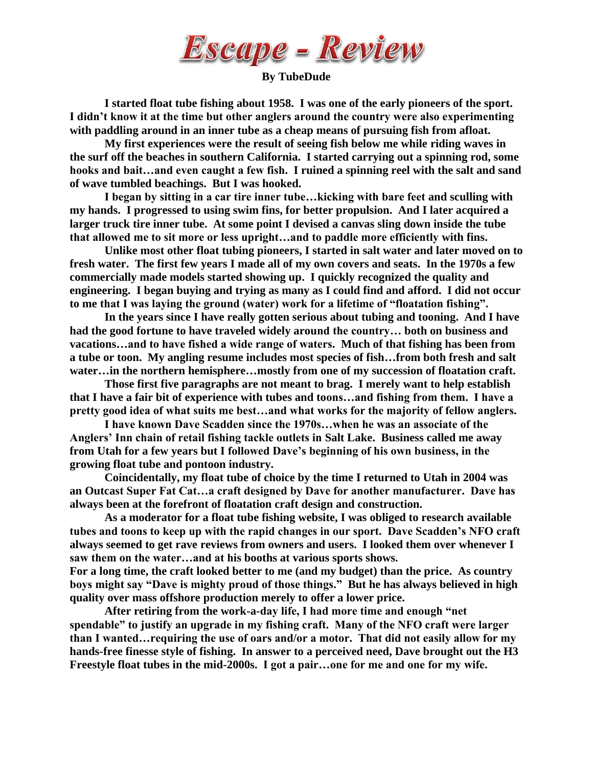

**By TubeDude**

**I started float tube fishing about 1958. I was one of the early pioneers of the sport. I didn't know it at the time but other anglers around the country were also experimenting with paddling around in an inner tube as a cheap means of pursuing fish from afloat.**

**My first experiences were the result of seeing fish below me while riding waves in the surf off the beaches in southern California. I started carrying out a spinning rod, some hooks and bait…and even caught a few fish. I ruined a spinning reel with the salt and sand of wave tumbled beachings. But I was hooked.**

**I began by sitting in a car tire inner tube…kicking with bare feet and sculling with my hands. I progressed to using swim fins, for better propulsion. And I later acquired a larger truck tire inner tube. At some point I devised a canvas sling down inside the tube that allowed me to sit more or less upright…and to paddle more efficiently with fins.**

**Unlike most other float tubing pioneers, I started in salt water and later moved on to fresh water. The first few years I made all of my own covers and seats. In the 1970s a few commercially made models started showing up. I quickly recognized the quality and engineering. I began buying and trying as many as I could find and afford. I did not occur to me that I was laying the ground (water) work for a lifetime of "floatation fishing".**

**In the years since I have really gotten serious about tubing and tooning. And I have had the good fortune to have traveled widely around the country… both on business and vacations…and to have fished a wide range of waters. Much of that fishing has been from a tube or toon. My angling resume includes most species of fish…from both fresh and salt water…in the northern hemisphere…mostly from one of my succession of floatation craft.**

**Those first five paragraphs are not meant to brag. I merely want to help establish that I have a fair bit of experience with tubes and toons…and fishing from them. I have a pretty good idea of what suits me best…and what works for the majority of fellow anglers.**

**I have known Dave Scadden since the 1970s…when he was an associate of the Anglers' Inn chain of retail fishing tackle outlets in Salt Lake. Business called me away from Utah for a few years but I followed Dave's beginning of his own business, in the growing float tube and pontoon industry.**

**Coincidentally, my float tube of choice by the time I returned to Utah in 2004 was an Outcast Super Fat Cat…a craft designed by Dave for another manufacturer. Dave has always been at the forefront of floatation craft design and construction.** 

**As a moderator for a float tube fishing website, I was obliged to research available tubes and toons to keep up with the rapid changes in our sport. Dave Scadden's NFO craft always seemed to get rave reviews from owners and users. I looked them over whenever I saw them on the water…and at his booths at various sports shows.** 

**For a long time, the craft looked better to me (and my budget) than the price. As country boys might say "Dave is mighty proud of those things." But he has always believed in high quality over mass offshore production merely to offer a lower price.**

**After retiring from the work-a-day life, I had more time and enough "net spendable" to justify an upgrade in my fishing craft. Many of the NFO craft were larger than I wanted…requiring the use of oars and/or a motor. That did not easily allow for my hands-free finesse style of fishing. In answer to a perceived need, Dave brought out the H3 Freestyle float tubes in the mid-2000s. I got a pair…one for me and one for my wife.**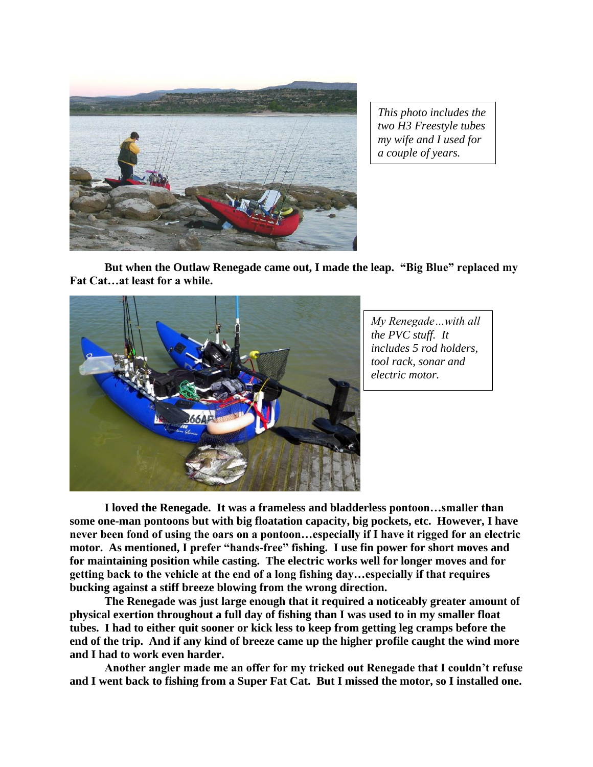

*This photo includes the two H3 Freestyle tubes my wife and I used for a couple of years.* 

**But when the Outlaw Renegade came out, I made the leap. "Big Blue" replaced my Fat Cat…at least for a while.**



*My Renegade…with all the PVC stuff. It includes 5 rod holders, tool rack, sonar and electric motor.*

**I loved the Renegade. It was a frameless and bladderless pontoon…smaller than some one-man pontoons but with big floatation capacity, big pockets, etc. However, I have never been fond of using the oars on a pontoon…especially if I have it rigged for an electric motor. As mentioned, I prefer "hands-free" fishing. I use fin power for short moves and for maintaining position while casting. The electric works well for longer moves and for getting back to the vehicle at the end of a long fishing day…especially if that requires bucking against a stiff breeze blowing from the wrong direction.**

**The Renegade was just large enough that it required a noticeably greater amount of physical exertion throughout a full day of fishing than I was used to in my smaller float tubes. I had to either quit sooner or kick less to keep from getting leg cramps before the end of the trip. And if any kind of breeze came up the higher profile caught the wind more and I had to work even harder.**

**Another angler made me an offer for my tricked out Renegade that I couldn't refuse and I went back to fishing from a Super Fat Cat. But I missed the motor, so I installed one.**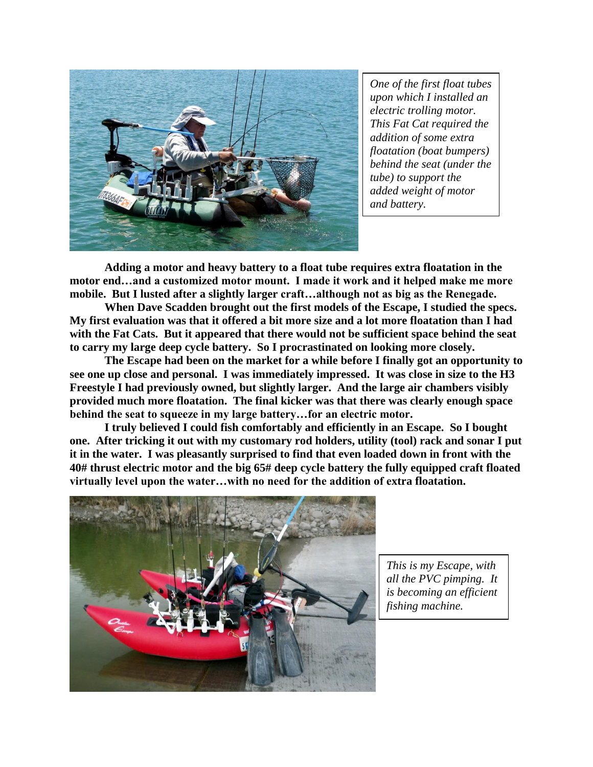

*One of the first float tubes upon which I installed an electric trolling motor. This Fat Cat required the addition of some extra floatation (boat bumpers) behind the seat (under the tube) to support the added weight of motor and battery.*

**Adding a motor and heavy battery to a float tube requires extra floatation in the motor end…and a customized motor mount. I made it work and it helped make me more mobile. But I lusted after a slightly larger craft…although not as big as the Renegade.**

**When Dave Scadden brought out the first models of the Escape, I studied the specs. My first evaluation was that it offered a bit more size and a lot more floatation than I had with the Fat Cats. But it appeared that there would not be sufficient space behind the seat to carry my large deep cycle battery. So I procrastinated on looking more closely.**

**The Escape had been on the market for a while before I finally got an opportunity to see one up close and personal. I was immediately impressed. It was close in size to the H3 Freestyle I had previously owned, but slightly larger. And the large air chambers visibly provided much more floatation. The final kicker was that there was clearly enough space behind the seat to squeeze in my large battery…for an electric motor.**

**I truly believed I could fish comfortably and efficiently in an Escape. So I bought one. After tricking it out with my customary rod holders, utility (tool) rack and sonar I put it in the water. I was pleasantly surprised to find that even loaded down in front with the 40# thrust electric motor and the big 65# deep cycle battery the fully equipped craft floated virtually level upon the water…with no need for the addition of extra floatation.**



*This is my Escape, with all the PVC pimping. It is becoming an efficient fishing machine.*